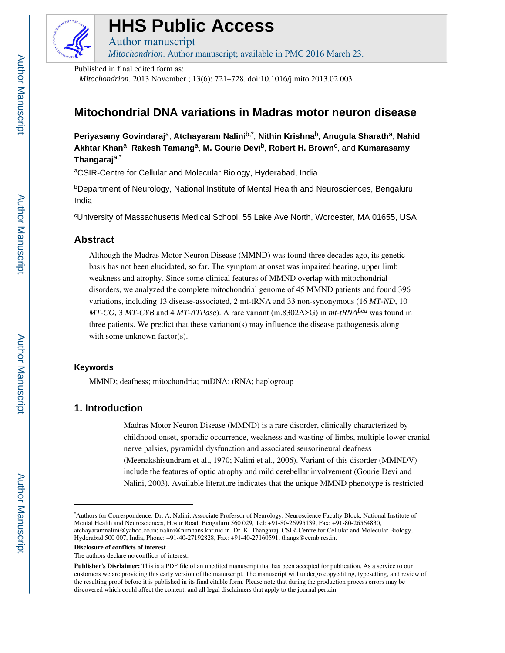

# **HHS Public Access**

Author manuscript *Mitochondrion*. Author manuscript; available in PMC 2016 March 23.

Published in final edited form as:

*Mitochondrion*. 2013 November ; 13(6): 721–728. doi:10.1016/j.mito.2013.02.003.

# **Mitochondrial DNA variations in Madras motor neuron disease**

**Periyasamy Govindaraj**a, **Atchayaram Nalini**b,\* , **Nithin Krishna**b, **Anugula Sharath**a, **Nahid Akhtar Khan**a, **Rakesh Tamang**a, **M. Gourie Devi**b, **Robert H. Brown**<sup>c</sup> , and **Kumarasamy Thangaraj**a,\*

aCSIR-Centre for Cellular and Molecular Biology, Hyderabad, India

bDepartment of Neurology, National Institute of Mental Health and Neurosciences, Bengaluru, India

<sup>c</sup>University of Massachusetts Medical School, 55 Lake Ave North, Worcester, MA 01655, USA

## **Abstract**

Although the Madras Motor Neuron Disease (MMND) was found three decades ago, its genetic basis has not been elucidated, so far. The symptom at onset was impaired hearing, upper limb weakness and atrophy. Since some clinical features of MMND overlap with mitochondrial disorders, we analyzed the complete mitochondrial genome of 45 MMND patients and found 396 variations, including 13 disease-associated, 2 mt-tRNA and 33 non-synonymous (16 *MT-ND*, 10 *MT-CO,* 3 *MT-CYB* and 4 *MT-ATPase*). A rare variant (m.8302A>G) in *mt-tRNALeu* was found in three patients. We predict that these variation(s) may influence the disease pathogenesis along with some unknown factor(s).

### **Keywords**

MMND; deafness; mitochondria; mtDNA; tRNA; haplogroup

# **1. Introduction**

Madras Motor Neuron Disease (MMND) is a rare disorder, clinically characterized by childhood onset, sporadic occurrence, weakness and wasting of limbs, multiple lower cranial nerve palsies, pyramidal dysfunction and associated sensorineural deafness (Meenakshisundram et al., 1970; Nalini et al., 2006). Variant of this disorder (MMNDV) include the features of optic atrophy and mild cerebellar involvement (Gourie Devi and Nalini, 2003). Available literature indicates that the unique MMND phenotype is restricted

**Disclosure of conflicts of interest**

<sup>\*</sup>Authors for Correspondence: Dr. A. Nalini, Associate Professor of Neurology, Neuroscience Faculty Block, National Institute of Mental Health and Neurosciences, Hosur Road, Bengaluru 560 029, Tel: +91-80-26995139, Fax: +91-80-26564830, atchayaramnalini@yahoo.co.in; nalini@nimhans.kar.nic.in. Dr. K. Thangaraj, CSIR-Centre for Cellular and Molecular Biology, Hyderabad 500 007, India, Phone: +91-40-27192828, Fax: +91-40-27160591, thangs@ccmb.res.in.

The authors declare no conflicts of interest.

**Publisher's Disclaimer:** This is a PDF file of an unedited manuscript that has been accepted for publication. As a service to our customers we are providing this early version of the manuscript. The manuscript will undergo copyediting, typesetting, and review of the resulting proof before it is published in its final citable form. Please note that during the production process errors may be discovered which could affect the content, and all legal disclaimers that apply to the journal pertain.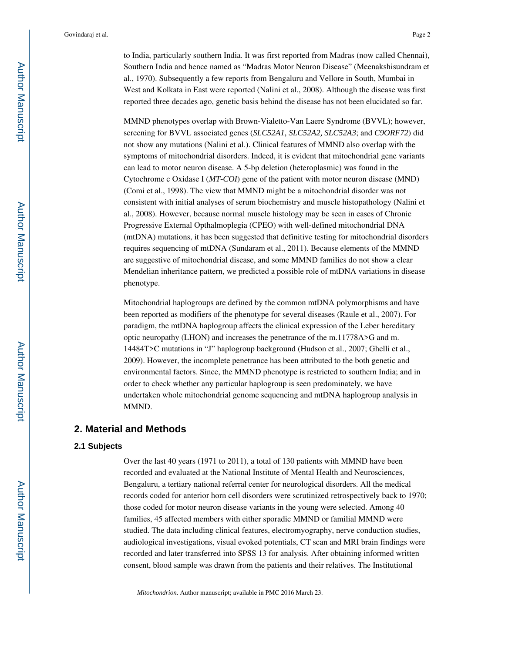to India, particularly southern India. It was first reported from Madras (now called Chennai), Southern India and hence named as "Madras Motor Neuron Disease" (Meenakshisundram et al., 1970). Subsequently a few reports from Bengaluru and Vellore in South, Mumbai in West and Kolkata in East were reported (Nalini et al., 2008). Although the disease was first reported three decades ago, genetic basis behind the disease has not been elucidated so far.

MMND phenotypes overlap with Brown-Vialetto-Van Laere Syndrome (BVVL); however, screening for BVVL associated genes (*SLC52A1, SLC52A2, SLC52A3*; and *C9ORF72*) did not show any mutations (Nalini et al.). Clinical features of MMND also overlap with the symptoms of mitochondrial disorders. Indeed, it is evident that mitochondrial gene variants can lead to motor neuron disease. A 5-bp deletion (heteroplasmic) was found in the Cytochrome c Oxidase I (*MT-COI*) gene of the patient with motor neuron disease (MND) (Comi et al., 1998). The view that MMND might be a mitochondrial disorder was not consistent with initial analyses of serum biochemistry and muscle histopathology (Nalini et al., 2008). However, because normal muscle histology may be seen in cases of Chronic Progressive External Opthalmoplegia (CPEO) with well-defined mitochondrial DNA (mtDNA) mutations, it has been suggested that definitive testing for mitochondrial disorders requires sequencing of mtDNA (Sundaram et al., 2011). Because elements of the MMND are suggestive of mitochondrial disease, and some MMND families do not show a clear Mendelian inheritance pattern, we predicted a possible role of mtDNA variations in disease phenotype.

Mitochondrial haplogroups are defined by the common mtDNA polymorphisms and have been reported as modifiers of the phenotype for several diseases (Raule et al., 2007). For paradigm, the mtDNA haplogroup affects the clinical expression of the Leber hereditary optic neuropathy (LHON) and increases the penetrance of the m.11778A>G and m. 14484T>C mutations in "J" haplogroup background (Hudson et al., 2007; Ghelli et al., 2009). However, the incomplete penetrance has been attributed to the both genetic and environmental factors. Since, the MMND phenotype is restricted to southern India; and in order to check whether any particular haplogroup is seen predominately, we have undertaken whole mitochondrial genome sequencing and mtDNA haplogroup analysis in MMND.

#### **2. Material and Methods**

#### **2.1 Subjects**

Over the last 40 years (1971 to 2011), a total of 130 patients with MMND have been recorded and evaluated at the National Institute of Mental Health and Neurosciences, Bengaluru, a tertiary national referral center for neurological disorders. All the medical records coded for anterior horn cell disorders were scrutinized retrospectively back to 1970; those coded for motor neuron disease variants in the young were selected. Among 40 families, 45 affected members with either sporadic MMND or familial MMND were studied. The data including clinical features, electromyography, nerve conduction studies, audiological investigations, visual evoked potentials, CT scan and MRI brain findings were recorded and later transferred into SPSS 13 for analysis. After obtaining informed written consent, blood sample was drawn from the patients and their relatives. The Institutional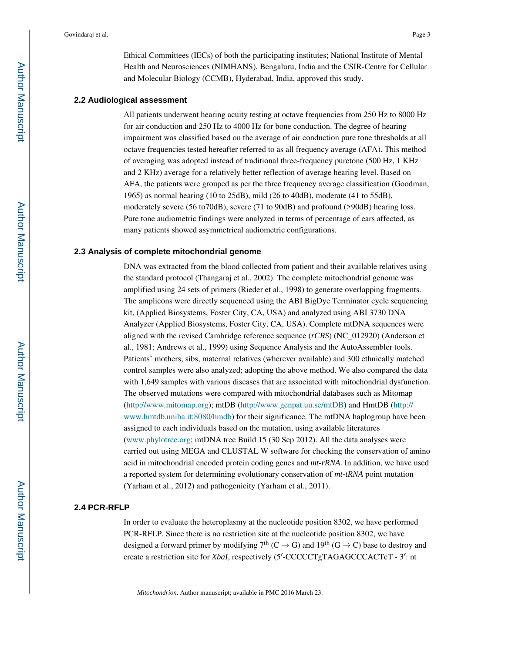Ethical Committees (IECs) of both the participating institutes; National Institute of Mental Health and Neurosciences (NIMHANS), Bengaluru, India and the CSIR-Centre for Cellular and Molecular Biology (CCMB), Hyderabad, India, approved this study.

#### **2.2 Audiological assessment**

All patients underwent hearing acuity testing at octave frequencies from 250 Hz to 8000 Hz for air conduction and 250 Hz to 4000 Hz for bone conduction. The degree of hearing impairment was classified based on the average of air conduction pure tone thresholds at all octave frequencies tested hereafter referred to as all frequency average (AFA). This method of averaging was adopted instead of traditional three-frequency puretone (500 Hz, 1 KHz and 2 KHz) average for a relatively better reflection of average hearing level. Based on AFA, the patients were grouped as per the three frequency average classification (Goodman, 1965) as normal hearing (10 to 25dB), mild (26 to 40dB), moderate (41 to 55dB), moderately severe (56 to70dB), severe (71 to 90dB) and profound (>90dB) hearing loss. Pure tone audiometric findings were analyzed in terms of percentage of ears affected, as many patients showed asymmetrical audiometric configurations.

#### **2.3 Analysis of complete mitochondrial genome**

DNA was extracted from the blood collected from patient and their available relatives using the standard protocol (Thangaraj et al., 2002). The complete mitochondrial genome was amplified using 24 sets of primers (Rieder et al., 1998) to generate overlapping fragments. The amplicons were directly sequenced using the ABI BigDye Terminator cycle sequencing kit, (Applied Biosystems, Foster City, CA, USA) and analyzed using ABI 3730 DNA Analyzer (Applied Biosystems, Foster City, CA, USA). Complete mtDNA sequences were aligned with the revised Cambridge reference sequence (*rCRS*) (NC\_012920) (Anderson et al., 1981; Andrews et al., 1999) using Sequence Analysis and the AutoAssembler tools. Patients' mothers, sibs, maternal relatives (wherever available) and 300 ethnically matched control samples were also analyzed; adopting the above method. We also compared the data with 1,649 samples with various diseases that are associated with mitochondrial dysfunction. The observed mutations were compared with mitochondrial databases such as Mitomap (http://www.mitomap.org); mtDB (http://www.genpat.uu.se/mtDB) and HmtDB (http:// www.hmtdb.uniba.it:8080/hmdb) for their significance. The mtDNA haplogroup have been assigned to each individuals based on the mutation, using available literatures (www.phylotree.org; mtDNA tree Build 15 (30 Sep 2012). All the data analyses were carried out using MEGA and CLUSTAL W software for checking the conservation of amino acid in mitochondrial encoded protein coding genes and *mt-rRNA*. In addition, we have used a reported system for determining evolutionary conservation of *mt-tRNA* point mutation (Yarham et al., 2012) and pathogenicity (Yarham et al., 2011).

#### **2.4 PCR-RFLP**

In order to evaluate the heteroplasmy at the nucleotide position 8302, we have performed PCR-RFLP. Since there is no restriction site at the nucleotide position 8302, we have designed a forward primer by modifying  $7<sup>th</sup> (C \rightarrow G)$  and  $19<sup>th</sup> (G \rightarrow C)$  base to destroy and create a restriction site for *XbaI*, respectively (5'-CCCCCTgTAGAGCCCACTcT - 3': nt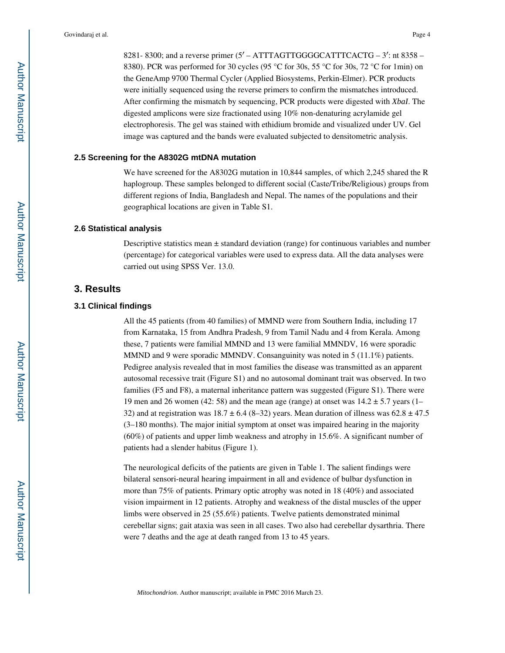8281- 8300; and a reverse primer  $(5' - ATTTAGTTGGGGCATTTCACTG - 3'$ : nt 8358 – 8380). PCR was performed for 30 cycles (95 °C for 30s, 55 °C for 30s, 72 °C for 1min) on the GeneAmp 9700 Thermal Cycler (Applied Biosystems, Perkin-Elmer). PCR products were initially sequenced using the reverse primers to confirm the mismatches introduced. After confirming the mismatch by sequencing, PCR products were digested with *XbaI*. The digested amplicons were size fractionated using 10% non-denaturing acrylamide gel electrophoresis. The gel was stained with ethidium bromide and visualized under UV. Gel image was captured and the bands were evaluated subjected to densitometric analysis.

#### **2.5 Screening for the A8302G mtDNA mutation**

We have screened for the A8302G mutation in 10,844 samples, of which 2,245 shared the R haplogroup. These samples belonged to different social (Caste/Tribe/Religious) groups from different regions of India, Bangladesh and Nepal. The names of the populations and their geographical locations are given in Table S1.

#### **2.6 Statistical analysis**

Descriptive statistics mean  $\pm$  standard deviation (range) for continuous variables and number (percentage) for categorical variables were used to express data. All the data analyses were carried out using SPSS Ver. 13.0.

#### **3. Results**

#### **3.1 Clinical findings**

All the 45 patients (from 40 families) of MMND were from Southern India, including 17 from Karnataka, 15 from Andhra Pradesh, 9 from Tamil Nadu and 4 from Kerala. Among these, 7 patients were familial MMND and 13 were familial MMNDV, 16 were sporadic MMND and 9 were sporadic MMNDV. Consanguinity was noted in 5 (11.1%) patients. Pedigree analysis revealed that in most families the disease was transmitted as an apparent autosomal recessive trait (Figure S1) and no autosomal dominant trait was observed. In two families (F5 and F8), a maternal inheritance pattern was suggested (Figure S1). There were 19 men and 26 women (42: 58) and the mean age (range) at onset was  $14.2 \pm 5.7$  years (1– 32) and at registration was  $18.7 \pm 6.4$  (8–32) years. Mean duration of illness was  $62.8 \pm 47.5$ (3–180 months). The major initial symptom at onset was impaired hearing in the majority (60%) of patients and upper limb weakness and atrophy in 15.6%. A significant number of patients had a slender habitus (Figure 1).

The neurological deficits of the patients are given in Table 1. The salient findings were bilateral sensori-neural hearing impairment in all and evidence of bulbar dysfunction in more than 75% of patients. Primary optic atrophy was noted in 18 (40%) and associated vision impairment in 12 patients. Atrophy and weakness of the distal muscles of the upper limbs were observed in 25 (55.6%) patients. Twelve patients demonstrated minimal cerebellar signs; gait ataxia was seen in all cases. Two also had cerebellar dysarthria. There were 7 deaths and the age at death ranged from 13 to 45 years.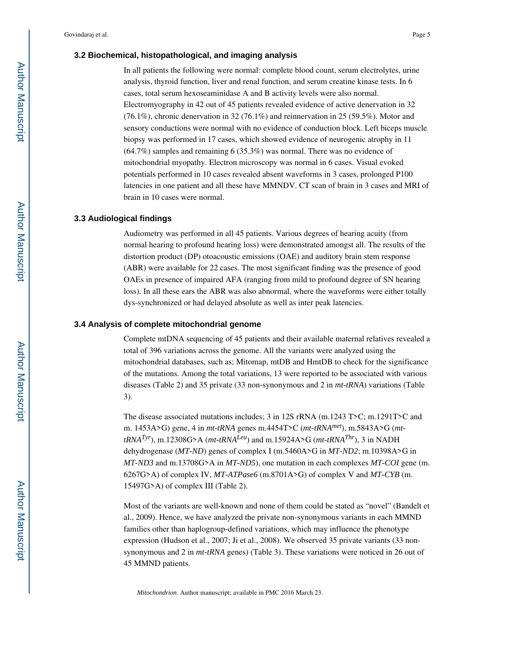#### **3.2 Biochemical, histopathological, and imaging analysis**

In all patients the following were normal: complete blood count, serum electrolytes, urine analysis, thyroid function, liver and renal function, and serum creatine kinase tests. In 6 cases, total serum hexoseaminidase A and B activity levels were also normal. Electromyography in 42 out of 45 patients revealed evidence of active denervation in 32 (76.1%), chronic denervation in 32 (76.1%) and reinnervation in 25 (59.5%). Motor and sensory conductions were normal with no evidence of conduction block. Left biceps muscle biopsy was performed in 17 cases, which showed evidence of neurogenic atrophy in 11 (64.7%) samples and remaining 6 (35.3%) was normal. There was no evidence of mitochondrial myopathy. Electron microscopy was normal in 6 cases. Visual evoked potentials performed in 10 cases revealed absent waveforms in 3 cases, prolonged P100 latencies in one patient and all these have MMNDV. CT scan of brain in 3 cases and MRI of brain in 10 cases were normal.

#### **3.3 Audiological findings**

Audiometry was performed in all 45 patients. Various degrees of hearing acuity (from normal hearing to profound hearing loss) were demonstrated amongst all. The results of the distortion product (DP) otoacoustic emissions (OAE) and auditory brain stem response (ABR) were available for 22 cases. The most significant finding was the presence of good OAEs in presence of impaired AFA (ranging from mild to profound degree of SN hearing loss). In all these ears the ABR was also abnormal, where the waveforms were either totally dys-synchronized or had delayed absolute as well as inter peak latencies.

#### **3.4 Analysis of complete mitochondrial genome**

Complete mtDNA sequencing of 45 patients and their available maternal relatives revealed a total of 396 variations across the genome. All the variants were analyzed using the mitochondrial databases, such as; Mitomap, mtDB and HmtDB to check for the significance of the mutations. Among the total variations, 13 were reported to be associated with various diseases (Table 2) and 35 private (33 non-synonymous and 2 in *mt-tRNA*) variations (Table 3).

The disease associated mutations includes; 3 in 12S rRNA (m.1243 T>C; m.1291T>C and m. 1453A>G) gene, 4 in *mt-tRNA* genes m.4454T>C (*mt-tRNAmet*), m.5843A>G (*mt* $tRNA<sup>Tyr</sup>$ , m.12308G>A ( $mt$ - $tRNA<sup>Leu</sup>$ ) and m.15924A>G ( $mt$ - $tRNA<sup>Thr</sup>$ ), 3 in NADH dehydrogenase (*MT-ND*) genes of complex I (m.5460A>G in *MT-ND2*; m.10398A>G in *MT-ND3* and m.13708G>A in *MT-ND5*), one mutation in each complexes *MT-COI* gene (m. 6267G>A) of complex IV, *MT-ATPase6* (m.8701A>G) of complex V and *MT-CYB* (m. 15497G>A) of complex III (Table 2).

Most of the variants are well-known and none of them could be stated as "novel" (Bandelt et al., 2009). Hence, we have analyzed the private non-synonymous variants in each MMND families other than haplogroup-defined variations, which may influence the phenotype expression (Hudson et al., 2007; Ji et al., 2008). We observed 35 private variants (33 nonsynonymous and 2 in *mt-tRNA* genes) (Table 3). These variations were noticed in 26 out of 45 MMND patients.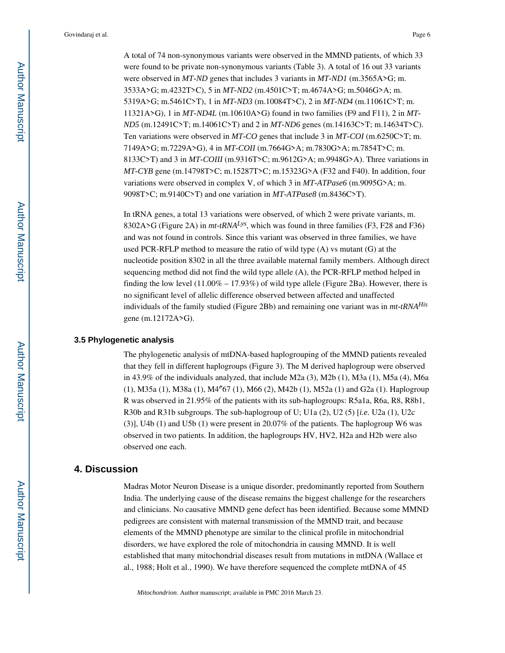A total of 74 non-synonymous variants were observed in the MMND patients, of which 33 were found to be private non-synonymous variants (Table 3). A total of 16 out 33 variants were observed in *MT-ND* genes that includes 3 variants in *MT-ND1* (m.3565A>G; m. 3533A>G; m.4232T>C), 5 in *MT-ND2* (m.4501C>T; m.4674A>G; m.5046G>A; m. 5319A>G; m.5461C>T), 1 in *MT-ND3* (m.10084T>C), 2 in *MT-ND4* (m.11061C>T; m. 11321A>G), 1 in *MT-ND4L* (m.10610A>G) found in two families (F9 and F11), 2 in *MT-ND5* (m.12491C>T; m.14061C>T) and 2 in *MT-ND6* genes (m.14163C>T; m.14634T>C). Ten variations were observed in *MT-CO* genes that include 3 in *MT-COI* (m.6250C>T; m. 7149A>G; m.7229A>G), 4 in *MT-COII* (m.7664G>A; m.7830G>A; m.7854T>C; m. 8133C>T) and 3 in *MT-COIII* (m.9316T>C; m.9612G>A; m.9948G>A). Three variations in *MT-CYB* gene (m.14798T>C; m.15287T>C; m.15323G>A (F32 and F40). In addition, four variations were observed in complex V, of which 3 in *MT-ATPase6* (m.9095G>A; m. 9098T>C; m.9140C>T) and one variation in *MT-ATPase8* (m.8436C>T).

In tRNA genes, a total 13 variations were observed, of which 2 were private variants, m. 8302A>G (Figure 2A) in *mt-tRNALys*, which was found in three families (F3, F28 and F36) and was not found in controls. Since this variant was observed in three families, we have used PCR-RFLP method to measure the ratio of wild type (A) vs mutant (G) at the nucleotide position 8302 in all the three available maternal family members. Although direct sequencing method did not find the wild type allele (A), the PCR-RFLP method helped in finding the low level  $(11.00\% - 17.93\%)$  of wild type allele (Figure 2Ba). However, there is no significant level of allelic difference observed between affected and unaffected individuals of the family studied (Figure 2Bb) and remaining one variant was in *mt-tRNAHis*  gene (m.12172A>G).

#### **3.5 Phylogenetic analysis**

The phylogenetic analysis of mtDNA-based haplogrouping of the MMND patients revealed that they fell in different haplogroups (Figure 3). The M derived haplogroup were observed in 43.9% of the individuals analyzed, that include M2a (3), M2b (1), M3a (1), M5a (4), M6a (1), M35a (1), M38a (1), M4″67 (1), M66 (2), M42b (1), M52a (1) and G2a (1). Haplogroup R was observed in 21.95% of the patients with its sub-haplogroups: R5a1a, R6a, R8, R8b1, R30b and R31b subgroups. The sub-haplogroup of U; U1a (2), U2 (5) [*i.e.* U2a (1), U2c (3)], U4b (1) and U5b (1) were present in 20.07% of the patients. The haplogroup W6 was observed in two patients. In addition, the haplogroups HV, HV2, H2a and H2b were also observed one each.

#### **4. Discussion**

Madras Motor Neuron Disease is a unique disorder, predominantly reported from Southern India. The underlying cause of the disease remains the biggest challenge for the researchers and clinicians. No causative MMND gene defect has been identified. Because some MMND pedigrees are consistent with maternal transmission of the MMND trait, and because elements of the MMND phenotype are similar to the clinical profile in mitochondrial disorders, we have explored the role of mitochondria in causing MMND. It is well established that many mitochondrial diseases result from mutations in mtDNA (Wallace et al., 1988; Holt et al., 1990). We have therefore sequenced the complete mtDNA of 45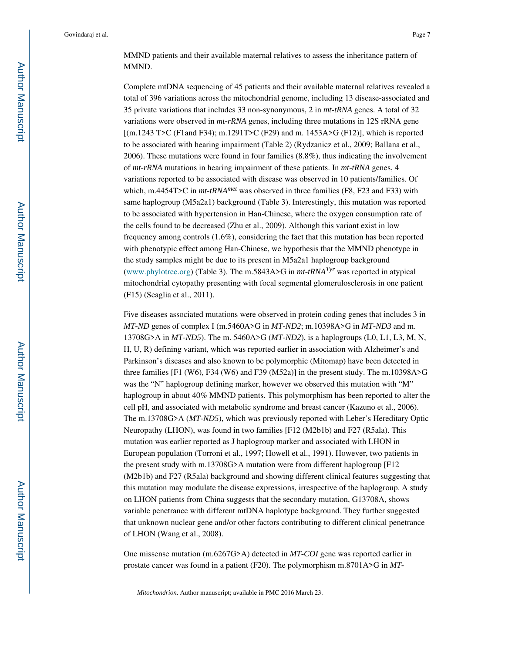MMND patients and their available maternal relatives to assess the inheritance pattern of MMND.

Complete mtDNA sequencing of 45 patients and their available maternal relatives revealed a total of 396 variations across the mitochondrial genome, including 13 disease-associated and 35 private variations that includes 33 non-synonymous, 2 in *mt-tRNA* genes. A total of 32 variations were observed in *mt-rRNA* genes, including three mutations in 12S rRNA gene [(m.1243 T>C (F1and F34); m.1291T>C (F29) and m. 1453A>G (F12)], which is reported to be associated with hearing impairment (Table 2) (Rydzanicz et al., 2009; Ballana et al., 2006). These mutations were found in four families (8.8%), thus indicating the involvement of *mt-rRNA* mutations in hearing impairment of these patients. In *mt-tRNA* genes, 4 variations reported to be associated with disease was observed in 10 patients/families. Of which, m.4454T>C in *mt-tRNAmet* was observed in three families (F8, F23 and F33) with same haplogroup (M5a2a1) background (Table 3). Interestingly, this mutation was reported to be associated with hypertension in Han-Chinese, where the oxygen consumption rate of the cells found to be decreased (Zhu et al., 2009). Although this variant exist in low frequency among controls (1.6%), considering the fact that this mutation has been reported with phenotypic effect among Han-Chinese, we hypothesis that the MMND phenotype in the study samples might be due to its present in M5a2a1 haplogroup background (www.phylotree.org) (Table 3). The m.5843A>G in *mt-tRNATyr* was reported in atypical mitochondrial cytopathy presenting with focal segmental glomerulosclerosis in one patient (F15) (Scaglia et al., 2011).

Five diseases associated mutations were observed in protein coding genes that includes 3 in *MT-ND* genes of complex I (m.5460A>G in *MT-ND2*; m.10398A>G in *MT-ND3* and m. 13708G>A in *MT-ND5*). The m. 5460A>G (*MT-ND2*), is a haplogroups (L0, L1, L3, M, N, H, U, R) defining variant, which was reported earlier in association with Alzheimer's and Parkinson's diseases and also known to be polymorphic (Mitomap) have been detected in three families [F1 (W6), F34 (W6) and F39 (M52a)] in the present study. The m.10398A>G was the "N" haplogroup defining marker, however we observed this mutation with "M" haplogroup in about 40% MMND patients. This polymorphism has been reported to alter the cell pH, and associated with metabolic syndrome and breast cancer (Kazuno et al., 2006). The m.13708G>A (*MT-ND5*), which was previously reported with Leber's Hereditary Optic Neuropathy (LHON), was found in two families [F12 (M2b1b) and F27 (R5ala). This mutation was earlier reported as J haplogroup marker and associated with LHON in European population (Torroni et al., 1997; Howell et al., 1991). However, two patients in the present study with m.13708G>A mutation were from different haplogroup [F12 (M2b1b) and F27 (R5ala) background and showing different clinical features suggesting that this mutation may modulate the disease expressions, irrespective of the haplogroup. A study on LHON patients from China suggests that the secondary mutation, G13708A, shows variable penetrance with different mtDNA haplotype background. They further suggested that unknown nuclear gene and/or other factors contributing to different clinical penetrance of LHON (Wang et al., 2008).

One missense mutation (m.6267G>A) detected in *MT-COI* gene was reported earlier in prostate cancer was found in a patient (F20). The polymorphism m.8701A>G in *MT-*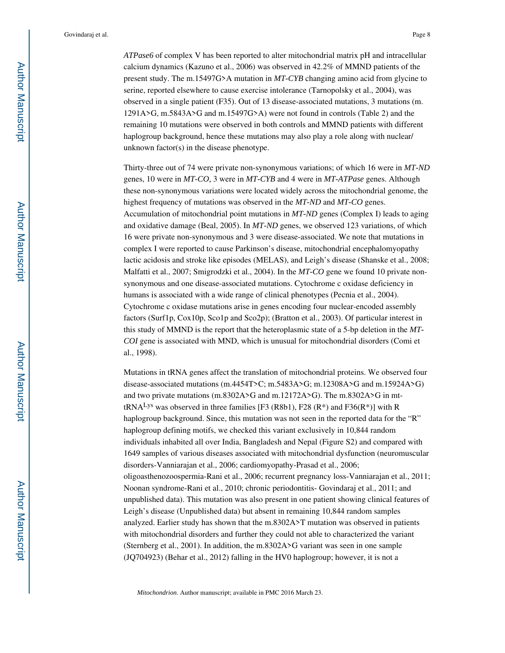*ATPase6* of complex V has been reported to alter mitochondrial matrix pH and intracellular calcium dynamics (Kazuno et al., 2006) was observed in 42.2% of MMND patients of the present study. The m.15497G>A mutation in *MT-CYB* changing amino acid from glycine to serine, reported elsewhere to cause exercise intolerance (Tarnopolsky et al., 2004), was observed in a single patient (F35). Out of 13 disease-associated mutations, 3 mutations (m. 1291A>G, m.5843A>G and m.15497G>A) were not found in controls (Table 2) and the remaining 10 mutations were observed in both controls and MMND patients with different haplogroup background, hence these mutations may also play a role along with nuclear/ unknown factor(s) in the disease phenotype.

Thirty-three out of 74 were private non-synonymous variations; of which 16 were in *MT-ND*  genes, 10 were in *MT-CO,* 3 were in *MT-CYB* and 4 were in *MT-ATPase* genes. Although these non-synonymous variations were located widely across the mitochondrial genome, the highest frequency of mutations was observed in the *MT-ND* and *MT-CO* genes. Accumulation of mitochondrial point mutations in *MT-ND* genes (Complex I) leads to aging and oxidative damage (Beal, 2005). In *MT-ND* genes, we observed 123 variations, of which 16 were private non-synonymous and 3 were disease-associated. We note that mutations in complex I were reported to cause Parkinson's disease, mitochondrial encephalomyopathy lactic acidosis and stroke like episodes (MELAS), and Leigh's disease (Shanske et al., 2008; Malfatti et al., 2007; Smigrodzki et al., 2004). In the *MT-CO* gene we found 10 private nonsynonymous and one disease-associated mutations. Cytochrome c oxidase deficiency in humans is associated with a wide range of clinical phenotypes (Pecnia et al., 2004). Cytochrome c oxidase mutations arise in genes encoding four nuclear-encoded assembly factors (Surf1p, Cox10p, Sco1p and Sco2p); (Bratton et al., 2003). Of particular interest in this study of MMND is the report that the heteroplasmic state of a 5-bp deletion in the *MT-COI* gene is associated with MND, which is unusual for mitochondrial disorders (Comi et al., 1998).

Mutations in tRNA genes affect the translation of mitochondrial proteins. We observed four disease-associated mutations (m.4454T>C; m.5483A>G; m.12308A>G and m.15924A>G) and two private mutations (m.8302A>G and m.12172A>G). The m.8302A>G in mttRNA<sup>Lys</sup> was observed in three families [F3 (R8b1), F28 (R<sup>\*</sup>) and F36(R<sup>\*</sup>)] with R haplogroup background. Since, this mutation was not seen in the reported data for the "R" haplogroup defining motifs, we checked this variant exclusively in 10,844 random individuals inhabited all over India, Bangladesh and Nepal (Figure S2) and compared with 1649 samples of various diseases associated with mitochondrial dysfunction (neuromuscular disorders-Vanniarajan et al., 2006; cardiomyopathy-Prasad et al., 2006; oligoasthenozoospermia-Rani et al., 2006; recurrent pregnancy loss-Vanniarajan et al., 2011; Noonan syndrome-Rani et al., 2010; chronic periodontitis- Govindaraj et al., 2011; and unpublished data). This mutation was also present in one patient showing clinical features of Leigh's disease (Unpublished data) but absent in remaining 10,844 random samples analyzed. Earlier study has shown that the m.8302A>T mutation was observed in patients with mitochondrial disorders and further they could not able to characterized the variant (Sternberg et al., 2001). In addition, the m.8302A>G variant was seen in one sample (JQ704923) (Behar et al., 2012) falling in the HV0 haplogroup; however, it is not a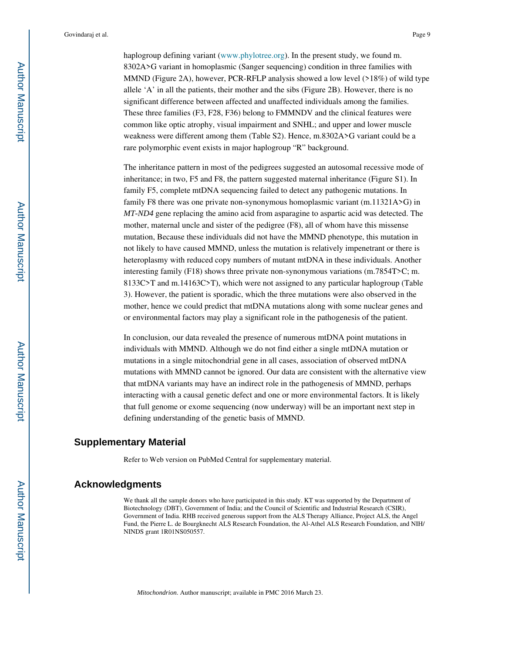haplogroup defining variant (www.phylotree.org). In the present study, we found m. 8302A>G variant in homoplasmic (Sanger sequencing) condition in three families with MMND (Figure 2A), however, PCR-RFLP analysis showed a low level (>18%) of wild type allele 'A' in all the patients, their mother and the sibs (Figure 2B). However, there is no significant difference between affected and unaffected individuals among the families. These three families (F3, F28, F36) belong to FMMNDV and the clinical features were common like optic atrophy, visual impairment and SNHL; and upper and lower muscle weakness were different among them (Table S2). Hence, m.8302A>G variant could be a rare polymorphic event exists in major haplogroup "R" background.

The inheritance pattern in most of the pedigrees suggested an autosomal recessive mode of inheritance; in two, F5 and F8, the pattern suggested maternal inheritance (Figure S1). In family F5, complete mtDNA sequencing failed to detect any pathogenic mutations. In family F8 there was one private non-synonymous homoplasmic variant (m.11321A>G) in *MT-ND4* gene replacing the amino acid from asparagine to aspartic acid was detected. The mother, maternal uncle and sister of the pedigree (F8), all of whom have this missense mutation, Because these individuals did not have the MMND phenotype, this mutation in not likely to have caused MMND, unless the mutation is relatively impenetrant or there is heteroplasmy with reduced copy numbers of mutant mtDNA in these individuals. Another interesting family (F18) shows three private non-synonymous variations (m.7854T>C; m. 8133C>T and m.14163C>T), which were not assigned to any particular haplogroup (Table 3). However, the patient is sporadic, which the three mutations were also observed in the mother, hence we could predict that mtDNA mutations along with some nuclear genes and or environmental factors may play a significant role in the pathogenesis of the patient.

In conclusion, our data revealed the presence of numerous mtDNA point mutations in individuals with MMND. Although we do not find either a single mtDNA mutation or mutations in a single mitochondrial gene in all cases, association of observed mtDNA mutations with MMND cannot be ignored. Our data are consistent with the alternative view that mtDNA variants may have an indirect role in the pathogenesis of MMND, perhaps interacting with a causal genetic defect and one or more environmental factors. It is likely that full genome or exome sequencing (now underway) will be an important next step in defining understanding of the genetic basis of MMND.

#### **Supplementary Material**

Refer to Web version on PubMed Central for supplementary material.

#### **Acknowledgments**

We thank all the sample donors who have participated in this study. KT was supported by the Department of Biotechnology (DBT), Government of India; and the Council of Scientific and Industrial Research (CSIR), Government of India. RHB received generous support from the ALS Therapy Alliance, Project ALS, the Angel Fund, the Pierre L. de Bourgknecht ALS Research Foundation, the Al-Athel ALS Research Foundation, and NIH/ NINDS grant 1R01NS050557.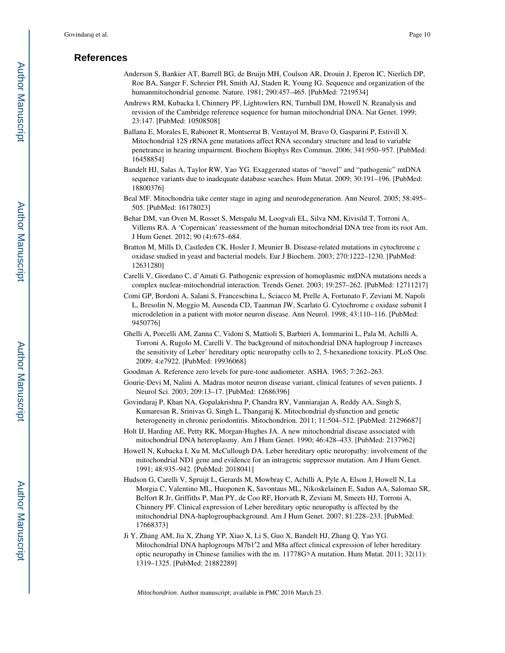#### **References**

- Anderson S, Bankier AT, Barrell BG, de Bruijn MH, Coulson AR, Drouin J, Eperon IC, Nierlich DP, Roe BA, Sanger F, Schreier PH, Smith AJ, Staden R, Young IG. Sequence and organization of the humanmitochondrial genome. Nature. 1981; 290:457–465. [PubMed: 7219534]
- Andrews RM, Kubacka I, Chinnery PF, Lightowlers RN, Turnbull DM, Howell N. Reanalysis and revision of the Cambridge reference sequence for human mitochondrial DNA. Nat Genet. 1999; 23:147. [PubMed: 10508508]
- Ballana E, Morales E, Rabionet R, Montserrat B, Ventayol M, Bravo O, Gasparini P, Estivill X. Mitochondrial 12S rRNA gene mutations affect RNA secondary structure and lead to variable penetrance in hearing impairment. Biochem Biophys Res Commun. 2006; 341:950–957. [PubMed: 16458854]
- Bandelt HJ, Salas A, Taylor RW, Yao YG. Exaggerated status of "novel" and "pathogenic" mtDNA sequence variants due to inadequate database searches. Hum Mutat. 2009; 30:191–196. [PubMed: 18800376]
- Beal MF. Mitochondria take center stage in aging and neurodegeneration. Ann Neurol. 2005; 58:495– 505. [PubMed: 16178023]
- Behar DM, van Oven M, Rosset S, Metspalu M, Loogvali EL, Silva NM, Kivisild T, Torroni A, Villems RA. A 'Copernican' reassessment of the human mitochondrial DNA tree from its root Am. J Hum Genet. 2012; 90 (4):675–684.
- Bratton M, Mills D, Castleden CK, Hosler J, Meunier B. Disease-related mutations in cytochrome c oxidase studied in yeast and bacterial models. Eur J Biochem. 2003; 270:1222–1230. [PubMed: 12631280]
- Carelli V, Giordano C, d'Amati G. Pathogenic expression of homoplasmic mtDNA mutations needs a complex nuclear-mitochondrial interaction. Trends Genet. 2003; 19:257–262. [PubMed: 12711217]
- Comi GP, Bordoni A, Salani S, Franceschina L, Sciacco M, Prelle A, Fortunato F, Zeviani M, Napoli L, Bresolin N, Moggio M, Ausenda CD, Taanman JW, Scarlato G. Cytochrome c oxidase subunit I microdeletion in a patient with motor neuron disease. Ann Neurol. 1998; 43:110–116. [PubMed: 9450776]
- Ghelli A, Porcelli AM, Zanna C, Vidoni S, Mattioli S, Barbieri A, Iommarini L, Pala M, Achilli A, Torroni A, Rugolo M, Carelli V. The background of mitochondrial DNA haplogroup J increases the sensitivity of Leber' hereditary optic neuropathy cells to 2, 5-hexanedione toxicity. PLoS One. 2009; 4:e7922. [PubMed: 19936068]
- Goodman A. Reference zero levels for pure-tone audiometer. ASHA. 1965; 7:262–263.
- Gourie-Devi M, Nalini A. Madras motor neuron disease variant, clinical features of seven patients. J Neurol Sci. 2003; 209:13–17. [PubMed: 12686396]
- Govindaraj P, Khan NA, Gopalakrishna P, Chandra RV, Vanniarajan A, Reddy AA, Singh S, Kumaresan R, Srinivas G, Singh L, Thangaraj K. Mitochondrial dysfunction and genetic heterogeneity in chronic periodontitis. Mitochondrion. 2011; 11:504-512. [PubMed: 21296687]
- Holt IJ, Harding AE, Petty RK, Morgan-Hughes JA. A new mitochondrial disease associated with mitochondrial DNA heteroplasmy. Am J Hum Genet. 1990; 46:428–433. [PubMed: 2137962]
- Howell N, Kubacka I, Xu M, McCullough DA. Leber hereditary optic neuropathy: involvement of the mitochondrial ND1 gene and evidence for an intragenic suppressor mutation. Am J Hum Genet. 1991; 48:935–942. [PubMed: 2018041]
- Hudson G, Carelli V, Spruijt L, Gerards M, Mowbray C, Achilli A, Pyle A, Elson J, Howell N, La Morgia C, Valentino ML, Huoponen K, Savontaus ML, Nikoskelainen E, Sadun AA, Salomao SR, Belfort R Jr, Griffiths P, Man PY, de Coo RF, Horvath R, Zeviani M, Smeets HJ, Torroni A, Chinnery PF. Clinical expression of Leber hereditary optic neuropathy is affected by the mitochondrial DNA-haplogroupbackground. Am J Hum Genet. 2007; 81:228–233. [PubMed: 17668373]
- Ji Y, Zhang AM, Jia X, Zhang YP, Xiao X, Li S, Guo X, Bandelt HJ, Zhang Q, Yao YG. Mitochondrial DNA haplogroups M7b1′2 and M8a affect clinical expression of leber hereditary optic neuropathy in Chinese families with the m. 11778G>A mutation. Hum Mutat. 2011; 32(11): 1319–1325. [PubMed: 21882289]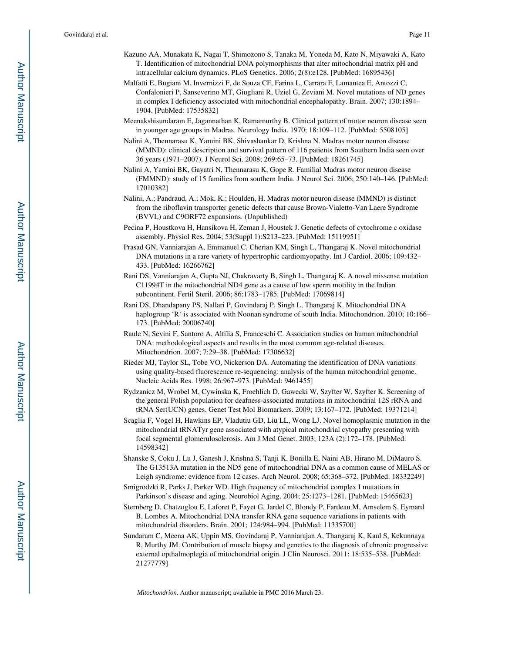- Kazuno AA, Munakata K, Nagai T, Shimozono S, Tanaka M, Yoneda M, Kato N, Miyawaki A, Kato T. Identification of mitochondrial DNA polymorphisms that alter mitochondrial matrix pH and intracellular calcium dynamics. PLoS Genetics. 2006; 2(8):e128. [PubMed: 16895436]
- Malfatti E, Bugiani M, Invernizzi F, de Souza CF, Farina L, Carrara F, Lamantea E, Antozzi C, Confalonieri P, Sanseverino MT, Giugliani R, Uziel G, Zeviani M. Novel mutations of ND genes in complex I deficiency associated with mitochondrial encephalopathy. Brain. 2007; 130:1894– 1904. [PubMed: 17535832]
- Meenakshisundaram E, Jagannathan K, Ramamurthy B. Clinical pattern of motor neuron disease seen in younger age groups in Madras. Neurology India. 1970; 18:109–112. [PubMed: 5508105]
- Nalini A, Thennarasu K, Yamini BK, Shivashankar D, Krishna N. Madras motor neuron disease (MMND): clinical description and survival pattern of 116 patients from Southern India seen over 36 years (1971–2007). J Neurol Sci. 2008; 269:65–73. [PubMed: 18261745]
- Nalini A, Yamini BK, Gayatri N, Thennarasu K, Gope R. Familial Madras motor neuron disease (FMMND): study of 15 families from southern India. J Neurol Sci. 2006; 250:140–146. [PubMed: 17010382]
- Nalini, A.; Pandraud, A.; Mok, K.; Houlden, H. Madras motor neuron disease (MMND) is distinct from the riboflavin transporter genetic defects that cause Brown-Vialetto-Van Laere Syndrome (BVVL) and C9ORF72 expansions. (Unpublished)
- Pecina P, Houstkova H, Hansikova H, Zeman J, Houstek J. Genetic defects of cytochrome c oxidase assembly. Physiol Res. 2004; 53(Suppl 1):S213–223. [PubMed: 15119951]
- Prasad GN, Vanniarajan A, Emmanuel C, Cherian KM, Singh L, Thangaraj K. Novel mitochondrial DNA mutations in a rare variety of hypertrophic cardiomyopathy. Int J Cardiol. 2006; 109:432– 433. [PubMed: 16266762]
- Rani DS, Vanniarajan A, Gupta NJ, Chakravarty B, Singh L, Thangaraj K. A novel missense mutation C11994T in the mitochondrial ND4 gene as a cause of low sperm motility in the Indian subcontinent. Fertil Steril. 2006; 86:1783–1785. [PubMed: 17069814]
- Rani DS, Dhandapany PS, Nallari P, Govindaraj P, Singh L, Thangaraj K. Mitochondrial DNA haplogroup 'R' is associated with Noonan syndrome of south India. Mitochondrion. 2010; 10:166– 173. [PubMed: 20006740]
- Raule N, Sevini F, Santoro A, Altilia S, Franceschi C. Association studies on human mitochondrial DNA: methodological aspects and results in the most common age-related diseases. Mitochondrion. 2007; 7:29–38. [PubMed: 17306632]
- Rieder MJ, Taylor SL, Tobe VO, Nickerson DA. Automating the identification of DNA variations using quality-based fluorescence re-sequencing: analysis of the human mitochondrial genome. Nucleic Acids Res. 1998; 26:967–973. [PubMed: 9461455]
- Rydzanicz M, Wrobel M, Cywinska K, Froehlich D, Gawecki W, Szyfter W, Szyfter K. Screening of the general Polish population for deafness-associated mutations in mitochondrial 12S rRNA and tRNA Ser(UCN) genes. Genet Test Mol Biomarkers. 2009; 13:167–172. [PubMed: 19371214]
- Scaglia F, Vogel H, Hawkins EP, Vladutiu GD, Liu LL, Wong LJ. Novel homoplasmic mutation in the mitochondrial tRNATyr gene associated with atypical mitochondrial cytopathy presenting with focal segmental glomerulosclerosis. Am J Med Genet. 2003; 123A (2):172–178. [PubMed: 14598342]
- Shanske S, Coku J, Lu J, Ganesh J, Krishna S, Tanji K, Bonilla E, Naini AB, Hirano M, DiMauro S. The G13513A mutation in the ND5 gene of mitochondrial DNA as a common cause of MELAS or Leigh syndrome: evidence from 12 cases. Arch Neurol. 2008; 65:368–372. [PubMed: 18332249]
- Smigrodzki R, Parks J, Parker WD. High frequency of mitochondrial complex I mutations in Parkinson's disease and aging. Neurobiol Aging. 2004; 25:1273–1281. [PubMed: 15465623]
- Sternberg D, Chatzoglou E, Laforet P, Fayet G, Jardel C, Blondy P, Fardeau M, Amselem S, Eymard B, Lombes A. Mitochondrial DNA transfer RNA gene sequence variations in patients with mitochondrial disorders. Brain. 2001; 124:984–994. [PubMed: 11335700]
- Sundaram C, Meena AK, Uppin MS, Govindaraj P, Vanniarajan A, Thangaraj K, Kaul S, Kekunnaya R, Murthy JM. Contribution of muscle biopsy and genetics to the diagnosis of chronic progressive external opthalmoplegia of mitochondrial origin. J Clin Neurosci. 2011; 18:535–538. [PubMed: 21277779]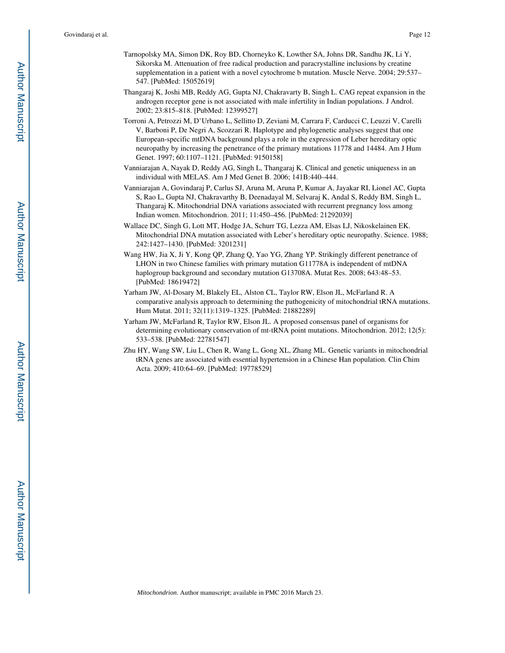- Tarnopolsky MA, Simon DK, Roy BD, Chorneyko K, Lowther SA, Johns DR, Sandhu JK, Li Y, Sikorska M. Attenuation of free radical production and paracrystalline inclusions by creatine supplementation in a patient with a novel cytochrome b mutation. Muscle Nerve. 2004; 29:537– 547. [PubMed: 15052619]
- Thangaraj K, Joshi MB, Reddy AG, Gupta NJ, Chakravarty B, Singh L. CAG repeat expansion in the androgen receptor gene is not associated with male infertility in Indian populations. J Androl. 2002; 23:815–818. [PubMed: 12399527]
- Torroni A, Petrozzi M, D'Urbano L, Sellitto D, Zeviani M, Carrara F, Carducci C, Leuzzi V, Carelli V, Barboni P, De Negri A, Scozzari R. Haplotype and phylogenetic analyses suggest that one European-specific mtDNA background plays a role in the expression of Leber hereditary optic neuropathy by increasing the penetrance of the primary mutations 11778 and 14484. Am J Hum Genet. 1997; 60:1107–1121. [PubMed: 9150158]
- Vanniarajan A, Nayak D, Reddy AG, Singh L, Thangaraj K. Clinical and genetic uniqueness in an individual with MELAS. Am J Med Genet B. 2006; 141B:440–444.
- Vanniarajan A, Govindaraj P, Carlus SJ, Aruna M, Aruna P, Kumar A, Jayakar RI, Lionel AC, Gupta S, Rao L, Gupta NJ, Chakravarthy B, Deenadayal M, Selvaraj K, Andal S, Reddy BM, Singh L, Thangaraj K. Mitochondrial DNA variations associated with recurrent pregnancy loss among Indian women. Mitochondrion. 2011; 11:450–456. [PubMed: 21292039]
- Wallace DC, Singh G, Lott MT, Hodge JA, Schurr TG, Lezza AM, Elsas LJ, Nikoskelainen EK. Mitochondrial DNA mutation associated with Leber's hereditary optic neuropathy. Science. 1988; 242:1427–1430. [PubMed: 3201231]
- Wang HW, Jia X, Ji Y, Kong QP, Zhang Q, Yao YG, Zhang YP. Strikingly different penetrance of LHON in two Chinese families with primary mutation G11778A is independent of mtDNA haplogroup background and secondary mutation G13708A. Mutat Res. 2008; 643:48–53. [PubMed: 18619472]
- Yarham JW, Al-Dosary M, Blakely EL, Alston CL, Taylor RW, Elson JL, McFarland R. A comparative analysis approach to determining the pathogenicity of mitochondrial tRNA mutations. Hum Mutat. 2011; 32(11):1319–1325. [PubMed: 21882289]
- Yarham JW, McFarland R, Taylor RW, Elson JL. A proposed consensus panel of organisms for determining evolutionary conservation of mt-tRNA point mutations. Mitochondrion. 2012; 12(5): 533–538. [PubMed: 22781547]
- Zhu HY, Wang SW, Liu L, Chen R, Wang L, Gong XL, Zhang ML. Genetic variants in mitochondrial tRNA genes are associated with essential hypertension in a Chinese Han population. Clin Chim Acta. 2009; 410:64–69. [PubMed: 19778529]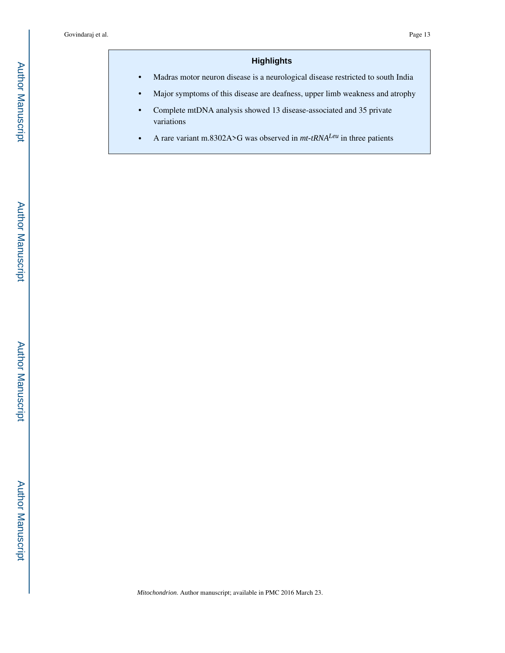# **Highlights**

**•** Madras motor neuron disease is a neurological disease restricted to south India

- **•** Major symptoms of this disease are deafness, upper limb weakness and atrophy
- **•** Complete mtDNA analysis showed 13 disease-associated and 35 private variations
- **•** A rare variant m.8302A>G was observed in *mt-tRNALeu* in three patients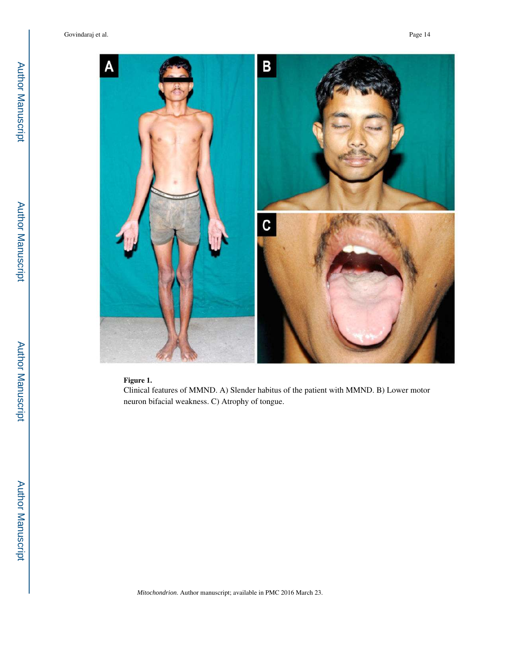Govindaraj et al. Page 14



#### **Figure 1.**

Clinical features of MMND. A) Slender habitus of the patient with MMND. B) Lower motor neuron bifacial weakness. C) Atrophy of tongue.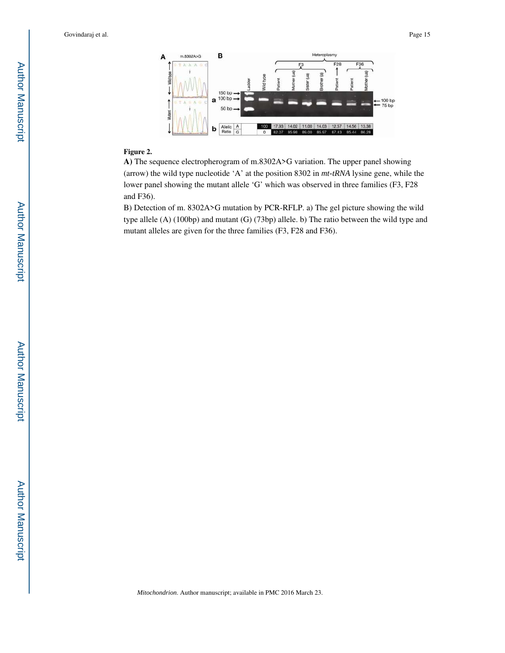

#### **Figure 2.**

**A)** The sequence electropherogram of m.8302A>G variation. The upper panel showing (arrow) the wild type nucleotide 'A' at the position 8302 in *mt-tRNA* lysine gene, while the lower panel showing the mutant allele 'G' which was observed in three families (F3, F28 and F36).

B) Detection of m. 8302A>G mutation by PCR-RFLP. a) The gel picture showing the wild type allele (A) (100bp) and mutant (G) (73bp) allele. b) The ratio between the wild type and mutant alleles are given for the three families (F3, F28 and F36).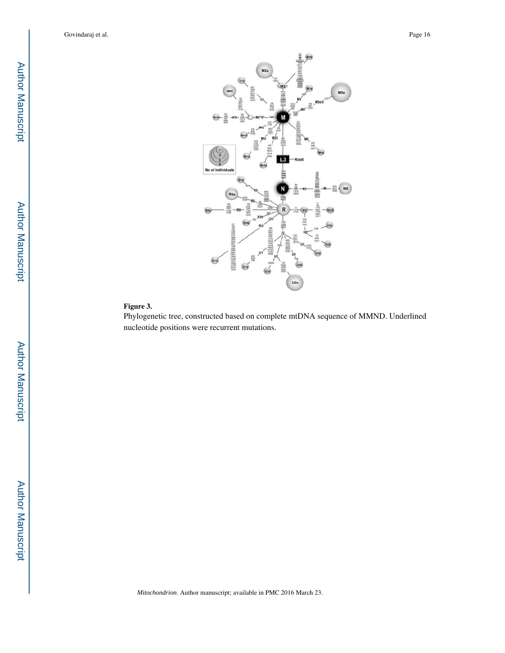

#### **Figure 3.**

Phylogenetic tree, constructed based on complete mtDNA sequence of MMND. Underlined nucleotide positions were recurrent mutations.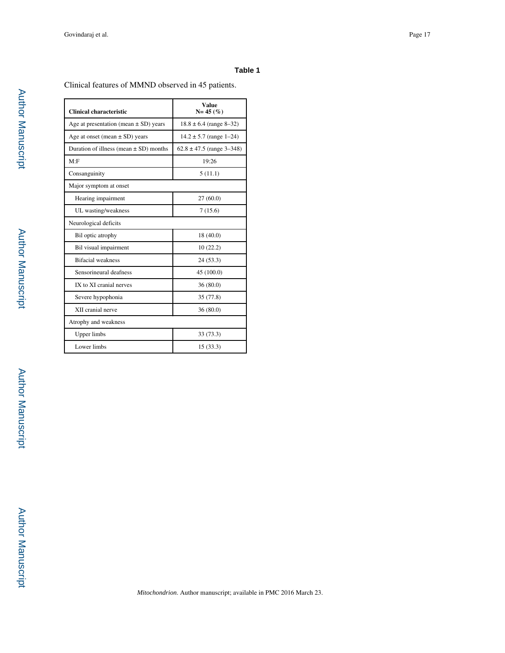#### **Table 1**

Clinical features of MMND observed in 45 patients.

| Clinical characteristic                    | Value<br>$N = 45 (%)$         |
|--------------------------------------------|-------------------------------|
| Age at presentation (mean $\pm$ SD) years  | $18.8 \pm 6.4$ (range 8-32)   |
| Age at onset (mean $\pm$ SD) years         | $14.2 \pm 5.7$ (range 1-24)   |
| Duration of illness (mean $\pm$ SD) months | $62.8 \pm 47.5$ (range 3-348) |
| M: F                                       | 19:26                         |
| Consanguinity                              | 5(11.1)                       |
| Major symptom at onset                     |                               |
| Hearing impairment                         | 27(60.0)                      |
| UL wasting/weakness                        | 7(15.6)                       |
| Neurological deficits                      |                               |
| Bil optic atrophy                          | 18 (40.0)                     |
| Bil visual impairment                      | 10(22.2)                      |
| <b>Bifacial</b> weakness                   | 24(53.3)                      |
| Sensorineural deafness                     | 45 (100.0)                    |
| IX to XI cranial nerves                    | 36(80.0)                      |
| Severe hypophonia                          | 35 (77.8)                     |
| XII cranial nerve                          | 36(80.0)                      |
| Atrophy and weakness                       |                               |
| <b>Upper</b> limbs                         | 33 (73.3)                     |
| Lower limbs                                | 15(33.3)                      |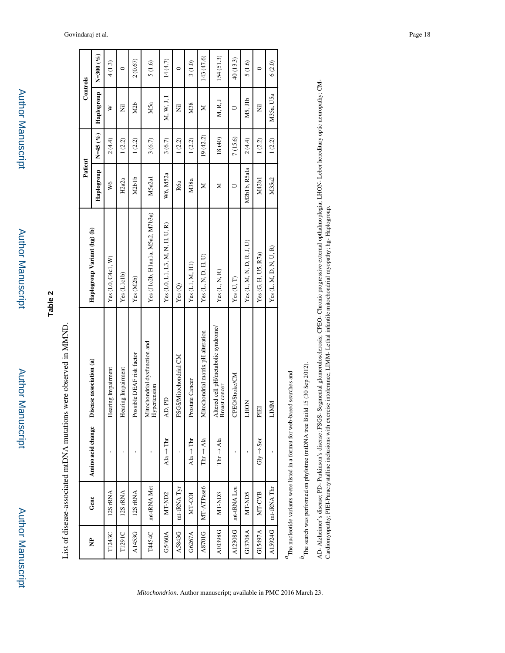Author Manuscript Author Manuscript

# **Table 2**

| ١<br>$\mathbf{r}$<br>j<br>l<br>ׇ֚֬֡<br>$\frac{1}{2}$<br>$\frac{1}{2}$<br>١<br>- 0.000 PM 2010 12:00:00<br>l<br>J<br>l<br>l<br>l<br>֧֦֦֦֧֦֧֦֦֧֦֧֧֦֧ׅ֧֦֧ׅ֧֦֧֧֦֧ׅ֧֦֧֧ׅ֧ׅ֧ׅ֧ׅ֧֧֧֦֧֧֦֧֚֚֚֝֝֝֬֜֓֓֜֓֓֜֓֓֞֟֓֜֓֜֓֓֜֓֜֓֜֓֜֓֜֓֜֓֜<br>י<br>י<br>ī<br>ţ<br>j<br>֧֖֖֖֖֖֖֖֧֖֧ׅ֪ׅ֖֧ׅ֖֖֧֖֧֚֚֚֚֚֚֚֚֚֚֚֚֚֚֚֚֚֚֚֚֚֚֚֚֬֝֬֝֝֝֬֓֬֝֬֝֬֝<br>I |  |
|----------------------------------------------------------------------------------------------------------------------------------------------------------------------------------------------------------------------------------------------------------------------------------------------------------------------|--|
|                                                                                                                                                                                                                                                                                                                      |  |
|                                                                                                                                                                                                                                                                                                                      |  |
|                                                                                                                                                                                                                                                                                                                      |  |
|                                                                                                                                                                                                                                                                                                                      |  |
|                                                                                                                                                                                                                                                                                                                      |  |
|                                                                                                                                                                                                                                                                                                                      |  |
|                                                                                                                                                                                                                                                                                                                      |  |
|                                                                                                                                                                                                                                                                                                                      |  |
|                                                                                                                                                                                                                                                                                                                      |  |
|                                                                                                                                                                                                                                                                                                                      |  |
|                                                                                                                                                                                                                                                                                                                      |  |
|                                                                                                                                                                                                                                                                                                                      |  |

|         |                    |                                      |                                                      |                                  | Patient                        |           | Controls   |               |
|---------|--------------------|--------------------------------------|------------------------------------------------------|----------------------------------|--------------------------------|-----------|------------|---------------|
| È       | Gene               | Amino acid change                    | Disease association (a)                              | Haplogroup Variant (hg) (b)      | Haplogroup                     | $N=45(%)$ | Haplogroup | $N = 300 (%)$ |
| T1243C  | 12S rRNA           |                                      | Hearing Impairment                                   | Yes (LO, C4c1, W)                | W6                             | 2(4.4)    | ≽          | 4(1.3)        |
| T1291C  | 12S rRNA           |                                      | Hearing Impairment                                   | Yes (L1c1b)                      | H2a2a                          | 1(2.2)    | Ē          | $\circ$       |
| A1453G  | 12S rRNA           |                                      | Possible DEAF risk factor                            | Yes (M2b)                        | M <sub>2</sub> b <sub>1b</sub> | 1(2.2)    | M2b        | 2(0.67)       |
| T4454C  | mt-tRNA Met        |                                      | Mitochondrial dysfunction and<br>Hypertension        | Yes (J1c2b, H1an1a, M5a2, M7b3a) | M5a2a1                         | 3(6.7)    | M5a        | 5(1.6)        |
| G5460A  | MT-ND <sub>2</sub> | $\text{Al}_a \rightarrow \text{Thr}$ | AD, PD                                               | Yes (L0, L1, L3, M, N, H, U, R)  | W6, M52a                       | 3(6.7)    | M, W, J, I | 14(4.7)       |
| A5843G  | mt-tRNATyr         |                                      | FSGS/Mitochondrial CM                                | Yes(Q)                           | R6a                            | 1(2.2)    | Ë          | $\circ$       |
| G6267A  | NT-COI             | $\text{Al}_a \rightarrow \text{Thr}$ | Prostate Cancer                                      | Yes (L1, M, H1)                  | M38a                           | 1(2.2)    | M38        | 3(1.0)        |
| A8701G  | MT-ATPase6         | Thr $\rightarrow$ Ala                | Mitochondrial matrix pH alteration                   | Yes(L, N, D, H, U)               | Σ                              | 19(42.2)  | Σ          | 143 (47.6)    |
| A10398G | MT-ND3             | Thr $\rightarrow$ Ala                | Altered cell pH/metabolic syndrome/<br>Breast cancer | Yes (L, N, R)                    | ⋝                              | $18(40)$  | M, R, J    | 154(51.3)     |
| A12308G | mt-tRNA Leu        |                                      | <b>CPEO/Stroke/CM</b>                                | Yes(U, T)                        |                                | 7(15.6)   | ⊃          | 40 (13.3)     |
| G13708A | NT-ND5             |                                      | <b>NOHT</b>                                          | Yes (L, M, N, D, R, J, U)        | M2b1b, R5ala                   | 2(4.4)    | M5, J1b    | 5(1.6)        |
| G15497A | MT-CYB             | $\mathrm{Gly} \to \mathrm{Ser}$      | E                                                    | Yes (G, H, U5, R7a)              | M42b1                          | 1(2.2)    | Ē          | $\circ$       |
| A15924G | mt-tRNA Thr        |                                      | LIMM                                                 | Yes (L, M, D, N, U, R)           | M35a2                          | 1(2.2)    | M35a, U5a  | 6(2.0)        |
|         |                    |                                      |                                                      |                                  |                                |           |            |               |

 $a_{\text{The nucleotide variants were listed in a format for web-based searches and}$ *a*The nucleotide variants were listed in a format for web-based searches and  $b_{\mbox{The search was performed on phylotree (mIDNA tree Build 15 (30 Sep 2012).}}$ *b*The search was performed on phylotree (mtDNA tree Build 15 (30 Sep 2012).

AD- Alzheimer's disease; PD- Parkinson's disease; FSGS- Segmental glomerulosclerosis; CPEO- Chronic progressive external opthalmoplegia; LHON- Leber hereditary optic neuropathy; CM-<br>Cardiomyopathy; PIEI-Paracrystalline inc AD- Alzheimer's disease; PD- Parkinson's disease; FSGS- Segmental glomerulosclerosis; CPEO- Chronic progressive external opthalmoplegia; LHON- Leber hereditary optic neuropathy; CM-Cardiomyopathy; PIEI-Paracrystalline inclusions with exercise intolerance; LIMM- Lethal infantile mitochondrial myopathy; hg- Haplogroup.

#### Govindaraj et al. Page 18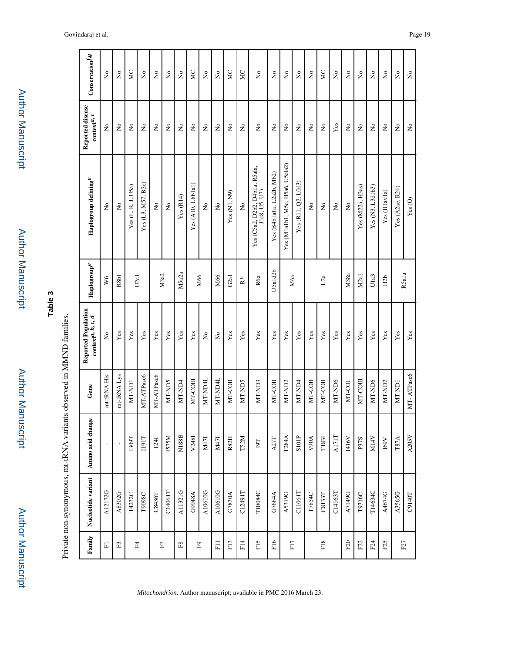| j |
|---|
|   |
|   |
| j |
| ī |
|   |
|   |
|   |
|   |
|   |
|   |
|   |
|   |
|   |
|   |
|   |
|   |
| j |
|   |
| j |
|   |
|   |
| ï |
|   |

Private non-synonymous, mt-tRNA variants observed in MMND families.

Private non-synonymous, mt-tRNA variants observed in MMND families.

Author Manuscript

**Author Manuscript** 

| ŧ               |  |  |
|-----------------|--|--|
| <b>Manuscri</b> |  |  |
|                 |  |  |
|                 |  |  |

|                            | Conservation's                               | $\stackrel{\circ}{\phantom{}_{\sim}}$ | $\tilde{\mathbf{z}}$      | МC                 | $\tilde{\mathbf{z}}$ | $\rm \stackrel{\circ}{\rm \bf Z}$ | $\stackrel{\circ}{\phantom{}_{\sim}}$ | $\tilde{\mathbf{z}}$ | <b>NC</b>         | $\rm \stackrel{\circ}{\rm \bf Z}$ | $\stackrel{\circ}{\phantom{}_{\sim}}$ | <b>NC</b>         | ЙC                      | $\rm \stackrel{\circ}{\rm \bf Z}$               | $\rm \stackrel{\circ}{\rm \bf Z}$ | $\rm \stackrel{\circ}{\rm \bf Z}$ | $\overline{\mathsf{x}}$ | $\rm _{X}^{\circ}$                  | <b>NC</b>               | $\overline{a}$ | $\mathop{\mathsf{S}}\nolimits$ | $\rm \stackrel{\circ}{\rm \bf Z}$   | $\overline{\mathsf{x}}$ | $\tilde{\mathbf{z}}$ | $\tilde{\mathbf{z}}$ | $\stackrel{\circ}{\mathbf{Z}}$      |  |       |
|----------------------------|----------------------------------------------|---------------------------------------|---------------------------|--------------------|----------------------|-----------------------------------|---------------------------------------|----------------------|-------------------|-----------------------------------|---------------------------------------|-------------------|-------------------------|-------------------------------------------------|-----------------------------------|-----------------------------------|-------------------------|-------------------------------------|-------------------------|----------------|--------------------------------|-------------------------------------|-------------------------|----------------------|----------------------|-------------------------------------|--|-------|
| Reported disease           | $\mathop{\mathrm{context}}\nolimits^{a,\;c}$ | $\stackrel{\circ}{\mathsf{Z}}$        | $\tilde{z}$               | $\frac{1}{2}$      | $\tilde{z}$          | $\stackrel{\circ}{\mathsf{Z}}$    | $\tilde{z}$                           | $\tilde{z}$          | $\tilde{z}$       | $\stackrel{\circ}{\mathsf{Z}}$    | $\tilde{\mathsf{z}}$                  | $\tilde{z}$       | $\tilde{\mathbf{z}}$    | Ş                                               | $\tilde{\mathbf{z}}$              | $\tilde{z}$                       | $\overline{\mathsf{z}}$ | $\stackrel{\mathtt{o}}{\mathsf{z}}$ | $\tilde{z}$             | Yes            | $\tilde{\mathsf{z}}$           | $\stackrel{\mathtt{o}}{\mathsf{z}}$ | $\frac{1}{2}$           | $\tilde{z}$          | $\mathsf{\hat{z}}$   | $\stackrel{\mathtt{o}}{\mathsf{z}}$ |  |       |
|                            | ${\rm Haplogroup}$ defining $^e$             | $\stackrel{\circ}{\mathsf{Z}}$        | $\mathsf{S}^{\mathsf{o}}$ | Yes (L, R, J, U5a) | Yes (L3, M57, B2c)   | $\mathring{\mathsf{z}}$           | $\stackrel{\mathtt{o}}{\mathtt{x}}$   | Yes(R14)             | Yes (A10, U8blal) | $\mathsf{S}^{\mathsf{O}}$         | $\tilde{z}$                           | Yes (N1, N9)      | $\mathring{\mathsf{z}}$ | Yes (C5a2, D2b2, D4b1a, R5ala,<br>J1c8, U5, U7) | Yes (B4b1a1a, L2a2b, M62)         | Yes (M1a1b1, M5c, H5a6, U5ala2)   | Yes (R11, Q2, L0d3)     | $\stackrel{\mathtt{o}}{\mathsf{z}}$ | $\mathring{\mathsf{z}}$ | $\tilde{z}$    | $\tilde{z}$                    | Yes (M22a, H3as)                    | Yes (N3, L3d1b3)        | Yes (Hlavla)         | Yes (A2ae, R24)      | Yes(0)                              |  |       |
|                            | ${\rm Haplogroup}^{\ell}$                    | W6                                    | R8b1                      |                    | U <sub>2c1</sub>     |                                   | M3a2                                  | M5a2a                | M66               |                                   | M66                                   | G <sub>2</sub> a1 | $\stackrel{*}{\simeq}$  | R6a                                             | U5ald2b                           | Mба                               |                         |                                     | U2a                     |                |                                |                                     | M38a                    | M2a1                 | Ula3                 | H2b                                 |  | R5ala |
| <b>Reported Population</b> | $\text{context}^{d,~b,~c,~d}$                | $\stackrel{\circ}{\mathbf{Z}}$        | Yes                       | $\mathbf{Yes}$     | Yes                  | $\mathbf{Yes}$                    | $\mathbf{Yes}$                        | Yes                  | $\mathbf{Yes}$    | $\stackrel{\circ}{\mathbf{Z}}$    | $\mathsf{S}^{\mathsf{o}}$             | $\mathbf{Yes}$    | Yes                     | Yes                                             | Yes                               | Yes                               | Yes                     | $\mathbf{Yes}$                      | $\mathbf{Yes}$          | Yes            | $\mathbf{Yes}$                 | Yes                                 | Yes                     | Yes                  | Yes                  | Yes                                 |  |       |
| Gene                       |                                              | mt-tRNA His                           | mt-tRNA Lys               | MT-ND1             | MT-ATPase6           | MT-ATPase8                        | MT-ND5                                | MT-ND4               | MT-COIII          | MT-ND4L                           | MT-ND4L                               | MT-COII           | MT-ND5                  | MT-ND3                                          | MT-COII                           | MT-ND <sub>2</sub>                | MT-ND4                  | MT-COII                             | MT-COII                 | MT-ND6         | MT-COI                         | MT-COII                             | MT-ND6                  | MT-ND2               | MT-ND)               | MT-ATPase6                          |  |       |
| Amino acid change          |                                              |                                       |                           | <b>ISO9T</b>       | <b>T191T</b>         | T24I                              | IS75M                                 | N188B                | V248I             | M47I                              | M47I                                  | R82H              | T52M                    | $161\,$                                         | A27T                              | T284A                             | SIOIP                   | V90A                                | <b>T183I</b>            | <b>AI7IT</b>   | 1416V                          | P37S                                | M14V                    | $169 \mathrm{V}$     | <b>T87A</b>          | A205V                               |  |       |
| Nucleotide variant         |                                              | A12172G                               | A8302G                    | T4232C             | T9098C               | C8436T                            | C14061T                               | A11321G              | G948A             | A10610G                           | A10610G                               | G7830A            | C12491T                 | T10084C                                         | G7664A                            | A5319G                            | C11061T                 | T7854C                              | C8133T                  | C14163T        | A7149G                         | T9316C                              | T14634C                 | A4674G               | A3565G               | C9140T                              |  |       |
| Family                     |                                              | $\overline{\text{h}}$                 | $\mathbb{E}$              | E4                 |                      |                                   | $\overline{\text{F}}$                 | $\mathbb{F}8$        | $\mathbb{E}^9$    |                                   | E1                                    | F <sub>13</sub>   | F14                     | F <sub>15</sub>                                 | F <sub>16</sub>                   | F17                               |                         |                                     | F <sub>18</sub>         |                | ${\rm F20}$                    | F22                                 | F24                     | F <sub>25</sub>      |                      | F27                                 |  |       |

*Mitochondrion*. Author manuscript; available in PMC 2016 March 23.